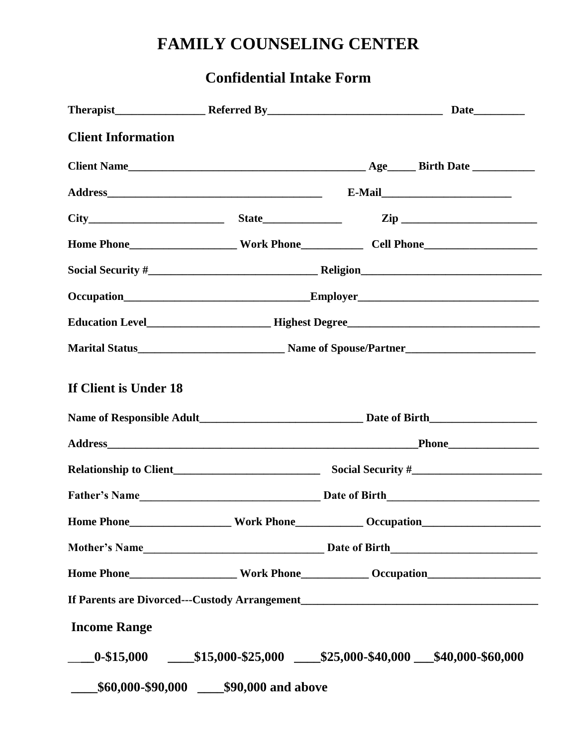## **FAMILY COUNSELING CENTER**

### **Confidential Intake Form**

| <b>Client Information</b> |                                          |                                                                                   |  |  |  |
|---------------------------|------------------------------------------|-----------------------------------------------------------------------------------|--|--|--|
|                           |                                          |                                                                                   |  |  |  |
|                           |                                          |                                                                                   |  |  |  |
|                           |                                          | $City$ $City$ $Size$ $Zip$                                                        |  |  |  |
|                           |                                          |                                                                                   |  |  |  |
|                           |                                          |                                                                                   |  |  |  |
|                           |                                          |                                                                                   |  |  |  |
|                           |                                          |                                                                                   |  |  |  |
|                           |                                          |                                                                                   |  |  |  |
| If Client is Under 18     |                                          |                                                                                   |  |  |  |
|                           |                                          |                                                                                   |  |  |  |
|                           |                                          |                                                                                   |  |  |  |
|                           |                                          |                                                                                   |  |  |  |
|                           |                                          |                                                                                   |  |  |  |
| <b>Home Phone_</b>        |                                          | <b>Mork Phone Community Community Occupation</b>                                  |  |  |  |
|                           |                                          | Mother's Name Date of Birth Date of Birth                                         |  |  |  |
|                           |                                          | Home Phone___________________Work Phone____________Occupation____________________ |  |  |  |
|                           |                                          |                                                                                   |  |  |  |
| <b>Income Range</b>       |                                          |                                                                                   |  |  |  |
|                           |                                          | $-0.15,000$ $-15,000.15,000.25,000$ $-125,000.10,000$ $-140,000.10,000$           |  |  |  |
| $\overline{\phantom{a}}$  | \$60,000-\$90,000 ____\$90,000 and above |                                                                                   |  |  |  |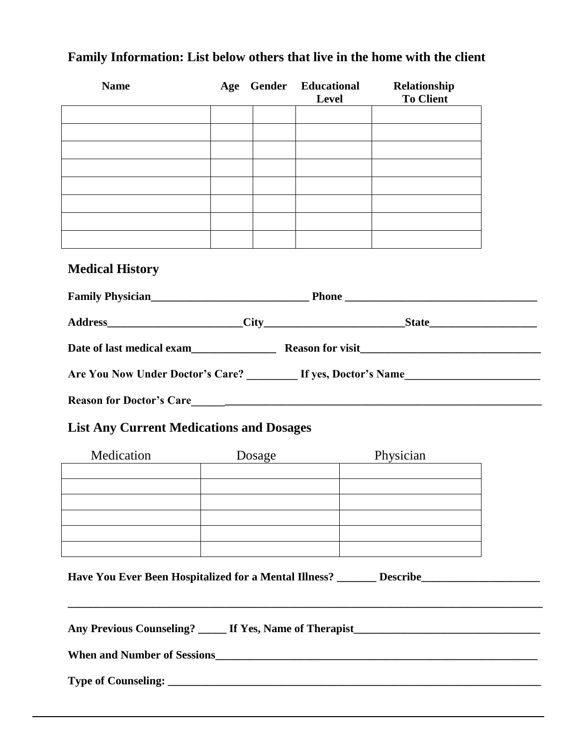# **Name Age Gender Educational Relationship Level To Client Medical History Family Physician** Address City City **Date of last medical exam\_\_\_\_\_\_\_\_\_\_\_\_\_\_\_ Reason for visit\_\_\_\_\_\_\_\_\_\_\_\_\_\_\_\_\_\_\_\_\_\_\_\_\_\_\_\_\_\_\_\_** Are You Now Under Doctor's Care? \_\_\_\_\_\_\_\_\_ If yes, Doctor's Name\_\_\_\_\_\_\_\_\_\_\_\_\_\_\_\_\_ **Reason for Doctor's Care\_\_\_\_\_\_\_\_\_\_\_\_\_\_\_\_\_\_\_\_\_\_\_\_\_\_\_\_\_\_\_\_\_\_\_\_\_\_\_\_\_\_\_\_\_\_\_\_\_\_\_\_\_\_\_\_\_\_\_\_\_\_ List Any Current Medications and Dosages** Medication Dosage Physician **Have You Ever Been Hospitalized for a Mental Illness? \_\_\_\_\_\_\_ Describe\_\_\_\_\_\_\_\_\_\_\_\_\_\_\_\_\_\_\_\_\_ \_\_\_\_\_\_\_\_\_\_\_\_\_\_\_\_\_\_\_\_\_\_\_\_\_\_\_\_\_\_\_\_\_\_\_\_\_\_\_\_\_\_\_\_\_\_\_\_\_\_\_\_\_\_\_\_\_\_\_\_\_\_\_\_\_\_\_\_\_\_\_\_\_\_\_\_\_\_\_\_\_\_\_\_**

#### **Family Information: List below others that live in the home with the client**

Any Previous Counseling? **Let Use Series Therapist** When and Number of Sessions **Type of Counseling: \_\_\_\_\_\_\_\_\_\_\_\_\_\_\_\_\_\_\_\_\_\_\_\_\_\_\_\_\_\_\_\_\_\_\_\_\_\_\_\_\_\_\_\_\_\_\_\_\_\_\_\_\_\_\_\_\_\_\_\_\_\_\_\_\_\_**